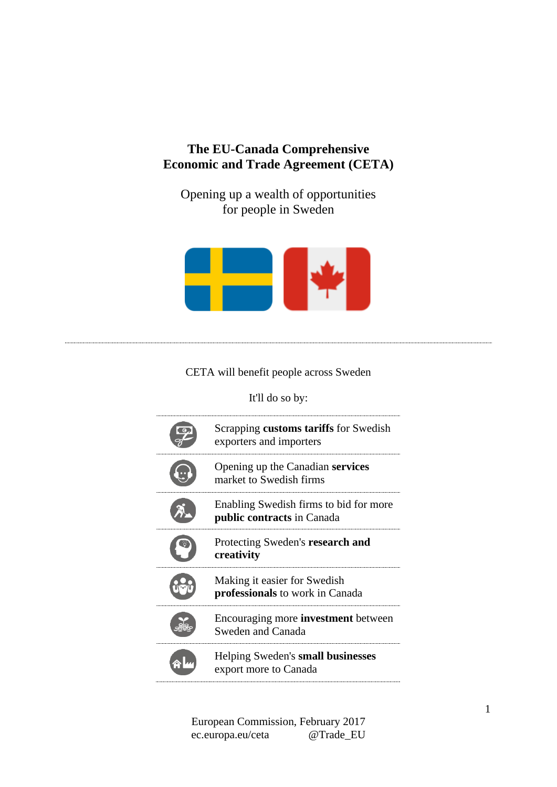# **The EU-Canada Comprehensive Economic and Trade Agreement (CETA)**

Opening up a wealth of opportunities for people in Sweden



### CETA will benefit people across Sweden

It'll do so by:

| Scrapping customs tariffs for Swedish<br>exporters and importers       |
|------------------------------------------------------------------------|
| Opening up the Canadian services<br>market to Swedish firms            |
| Enabling Swedish firms to bid for more<br>public contracts in Canada   |
| Protecting Sweden's research and<br>creativity                         |
| Making it easier for Swedish<br><b>professionals</b> to work in Canada |
| Encouraging more <b>investment</b> between<br>Sweden and Canada        |
| Helping Sweden's small businesses<br>export more to Canada             |

European Commission, February 2017 ec.europa.eu/ceta @Trade\_EU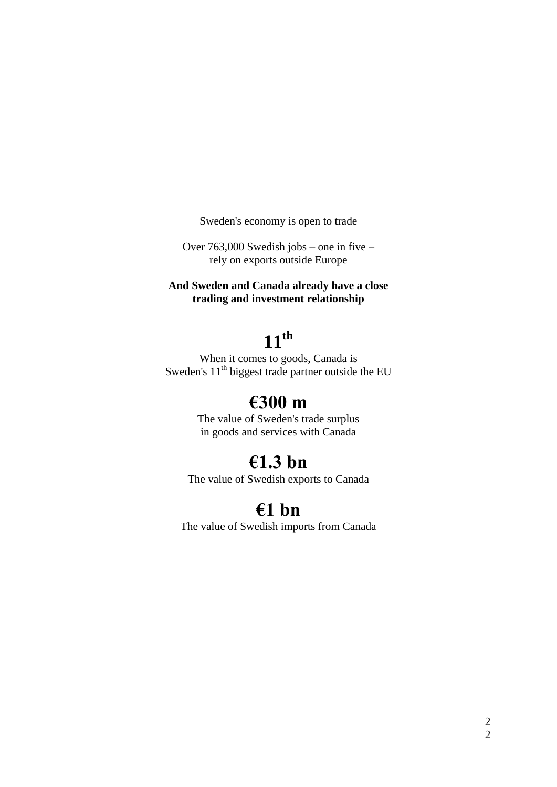Sweden's economy is open to trade

Over 763,000 Swedish jobs – one in five – rely on exports outside Europe

**And Sweden and Canada already have a close trading and investment relationship**

# **11th**

When it comes to goods, Canada is Sweden's  $11<sup>th</sup>$  biggest trade partner outside the EU

# **€300 m**

The value of Sweden's trade surplus in goods and services with Canada

# **€1.3 bn**

The value of Swedish exports to Canada

# **€1 bn**

The value of Swedish imports from Canada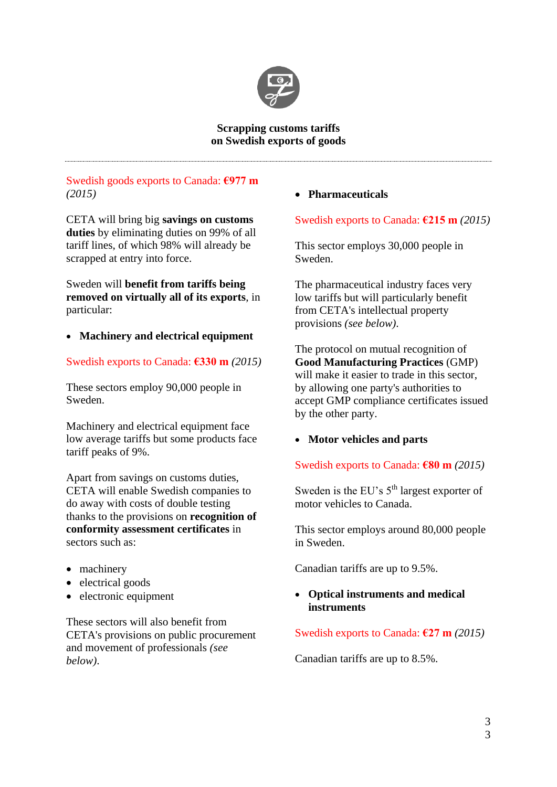

#### **Scrapping customs tariffs on Swedish exports of goods**

## Swedish goods exports to Canada: **€977 m**  *(2015)*

CETA will bring big **savings on customs duties** by eliminating duties on 99% of all tariff lines, of which 98% will already be scrapped at entry into force.

Sweden will **benefit from tariffs being removed on virtually all of its exports**, in particular:

### **Machinery and electrical equipment**

### Swedish exports to Canada: **€330 m** *(2015)*

These sectors employ 90,000 people in Sweden.

Machinery and electrical equipment face low average tariffs but some products face tariff peaks of 9%.

Apart from savings on customs duties, CETA will enable Swedish companies to do away with costs of double testing thanks to the provisions on **recognition of conformity assessment certificates** in sectors such as:

- machinery
- electrical goods
- electronic equipment

These sectors will also benefit from CETA's provisions on public procurement and movement of professionals *(see below)*.

**Pharmaceuticals**

### Swedish exports to Canada: **€215 m** *(2015)*

This sector employs 30,000 people in Sweden.

The pharmaceutical industry faces very low tariffs but will particularly benefit from CETA's intellectual property provisions *(see below)*.

The protocol on mutual recognition of **Good Manufacturing Practices** (GMP) will make it easier to trade in this sector. by allowing one party's authorities to accept GMP compliance certificates issued by the other party.

### **Motor vehicles and parts**

Swedish exports to Canada: **€80 m** *(2015)*

Sweden is the EU's  $5<sup>th</sup>$  largest exporter of motor vehicles to Canada.

This sector employs around 80,000 people in Sweden.

Canadian tariffs are up to 9.5%.

### **Optical instruments and medical instruments**

Swedish exports to Canada: **€27 m** *(2015)*

Canadian tariffs are up to 8.5%.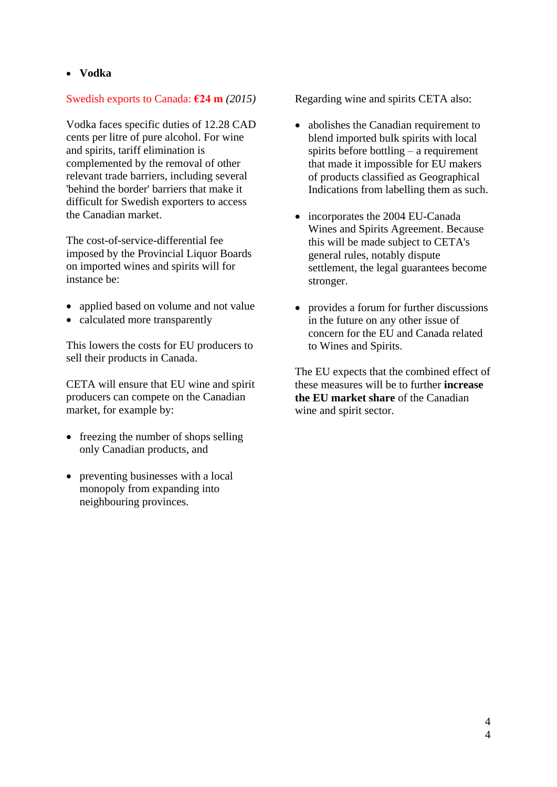**Vodka**

### Swedish exports to Canada: **€24 m** *(2015)*

Vodka faces specific duties of 12.28 CAD cents per litre of pure alcohol. For wine and spirits, tariff elimination is complemented by the removal of other relevant trade barriers, including several 'behind the border' barriers that make it difficult for Swedish exporters to access the Canadian market.

The cost-of-service-differential fee imposed by the Provincial Liquor Boards on imported wines and spirits will for instance be:

- applied based on volume and not value
- calculated more transparently

This lowers the costs for EU producers to sell their products in Canada.

CETA will ensure that EU wine and spirit producers can compete on the Canadian market, for example by:

- freezing the number of shops selling only Canadian products, and
- preventing businesses with a local monopoly from expanding into neighbouring provinces.

Regarding wine and spirits CETA also:

- abolishes the Canadian requirement to blend imported bulk spirits with local spirits before bottling – a requirement that made it impossible for EU makers of products classified as Geographical Indications from labelling them as such.
- incorporates the 2004 EU-Canada Wines and Spirits Agreement. Because this will be made subject to CETA's general rules, notably dispute settlement, the legal guarantees become stronger.
- provides a forum for further discussions in the future on any other issue of concern for the EU and Canada related to Wines and Spirits.

The EU expects that the combined effect of these measures will be to further **increase the EU market share** of the Canadian wine and spirit sector.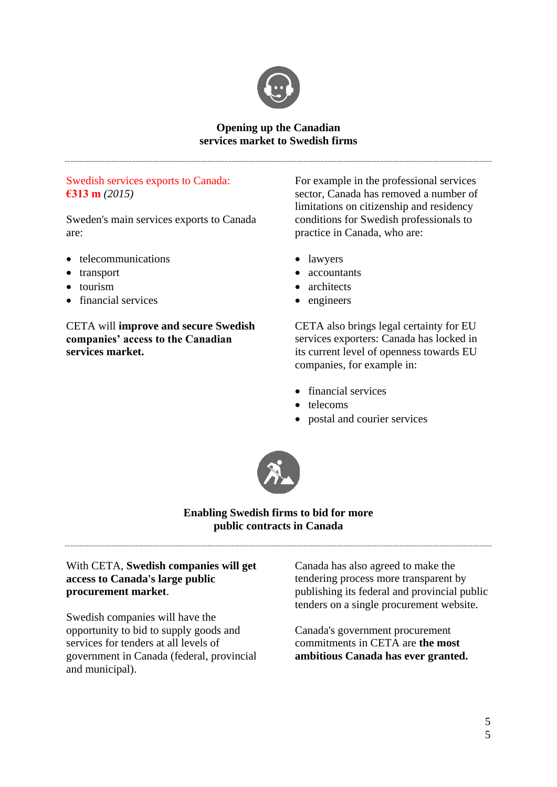

#### **Opening up the Canadian services market to Swedish firms**

### Swedish services exports to Canada: **€313 m** *(2015)*

Sweden's main services exports to Canada are:

- telecommunications
- transport
- tourism
- financial services

CETA will **improve and secure Swedish companies' access to the Canadian services market.**

For example in the professional services sector*,* Canada has removed a number of limitations on citizenship and residency conditions for Swedish professionals to practice in Canada, who are:

- lawyers
- accountants
- architects
- engineers

CETA also brings legal certainty for EU services exporters: Canada has locked in its current level of openness towards EU companies, for example in:

- financial services
- telecoms
- postal and courier services



### **Enabling Swedish firms to bid for more public contracts in Canada**

### With CETA, **Swedish companies will get access to Canada's large public procurement market**.

Swedish companies will have the opportunity to bid to supply goods and services for tenders at all levels of government in Canada (federal, provincial and municipal).

Canada has also agreed to make the tendering process more transparent by publishing its federal and provincial public tenders on a single procurement website.

Canada's government procurement commitments in CETA are **the most ambitious Canada has ever granted.**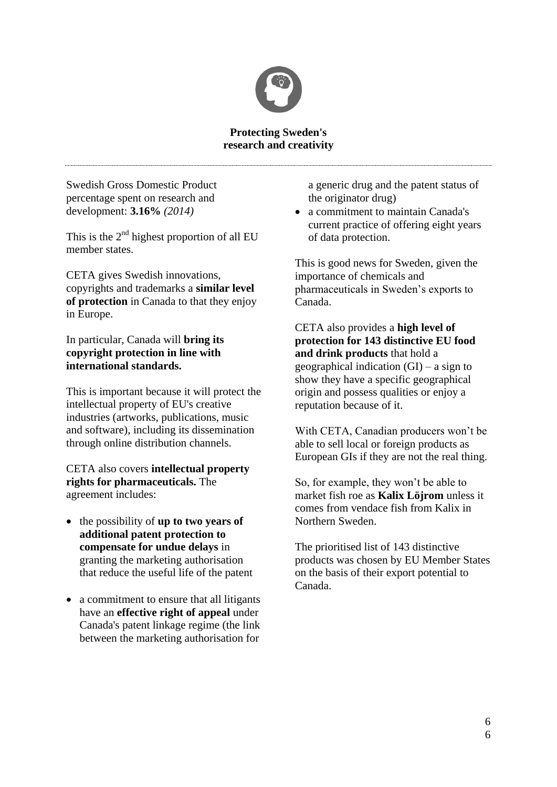

#### **Protecting Sweden's research and creativity**

Swedish Gross Domestic Product percentage spent on research and development: **3.16%** *(2014)*

This is the  $2<sup>nd</sup>$  highest proportion of all EU member states.

CETA gives Swedish innovations, copyrights and trademarks a **similar level of protection** in Canada to that they enjoy in Europe.

### In particular, Canada will **bring its copyright protection in line with international standards.**

This is important because it will protect the intellectual property of EU's creative industries (artworks, publications, music and software), including its dissemination through online distribution channels.

CETA also covers **intellectual property rights for pharmaceuticals.** The agreement includes:

- the possibility of **up to two years of additional patent protection to compensate for undue delays** in granting the marketing authorisation that reduce the useful life of the patent
- a commitment to ensure that all litigants have an **effective right of appeal** under Canada's patent linkage regime (the link between the marketing authorisation for

a generic drug and the patent status of the originator drug)

• a commitment to maintain Canada's current practice of offering eight years of data protection.

This is good news for Sweden, given the importance of chemicals and pharmaceuticals in Sweden's exports to Canada.

CETA also provides a **high level of protection for 143 distinctive EU food and drink products** that hold a geographical indication (GI) – a sign to show they have a specific geographical origin and possess qualities or enjoy a reputation because of it.

With CETA, Canadian producers won't be able to sell local or foreign products as European GIs if they are not the real thing.

So, for example, they won't be able to market fish roe as **Kalix Löjrom** unless it comes from vendace fish from Kalix in Northern Sweden.

The prioritised list of 143 distinctive products was chosen by EU Member States on the basis of their export potential to Canada.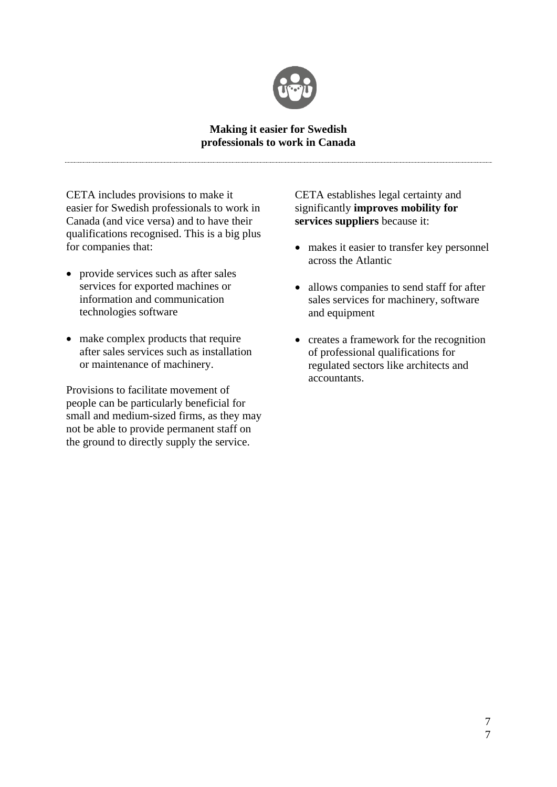

#### **Making it easier for Swedish professionals to work in Canada**

CETA includes provisions to make it easier for Swedish professionals to work in Canada (and vice versa) and to have their qualifications recognised. This is a big plus for companies that:

- provide services such as after sales services for exported machines or information and communication technologies software
- make complex products that require after sales services such as installation or maintenance of machinery.

Provisions to facilitate movement of people can be particularly beneficial for small and medium-sized firms, as they may not be able to provide permanent staff on the ground to directly supply the service.

CETA establishes legal certainty and significantly **improves mobility for services suppliers** because it:

- makes it easier to transfer key personnel across the Atlantic
- allows companies to send staff for after sales services for machinery, software and equipment
- creates a framework for the recognition of professional qualifications for regulated sectors like architects and accountants.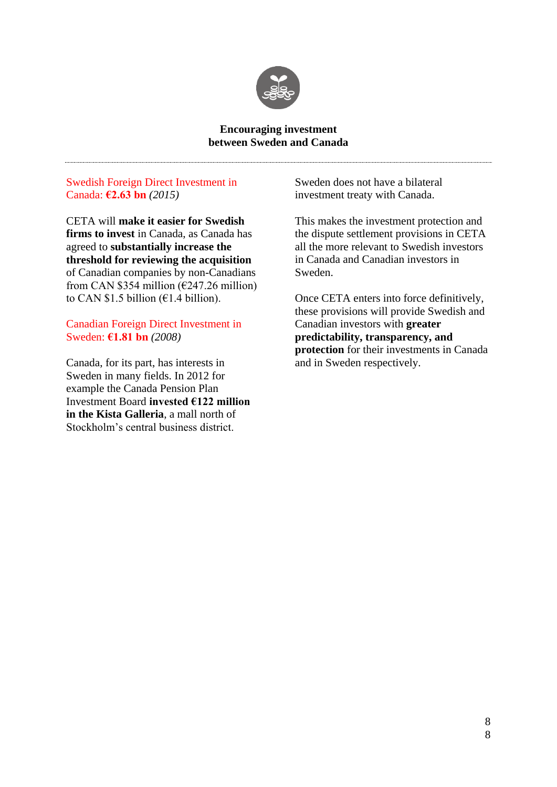

#### **Encouraging investment between Sweden and Canada**

#### Swedish Foreign Direct Investment in Canada: **€2.63 bn** *(2015)*

CETA will **make it easier for Swedish firms to invest** in Canada, as Canada has agreed to **substantially increase the threshold for reviewing the acquisition** of Canadian companies by non-Canadians from CAN \$354 million ( $\epsilon$ 247.26 million) to CAN \$1.5 billion ( $E1.4$  billion).

#### Canadian Foreign Direct Investment in Sweden: **€1.81 bn** *(2008)*

Canada, for its part, has interests in Sweden in many fields. In 2012 for example the Canada Pension Plan Investment Board **invested €122 million in the Kista Galleria**, a mall north of Stockholm's central business district.

Sweden does not have a bilateral investment treaty with Canada.

This makes the investment protection and the dispute settlement provisions in CETA all the more relevant to Swedish investors in Canada and Canadian investors in Sweden.

Once CETA enters into force definitively, these provisions will provide Swedish and Canadian investors with **greater predictability, transparency, and protection** for their investments in Canada and in Sweden respectively.